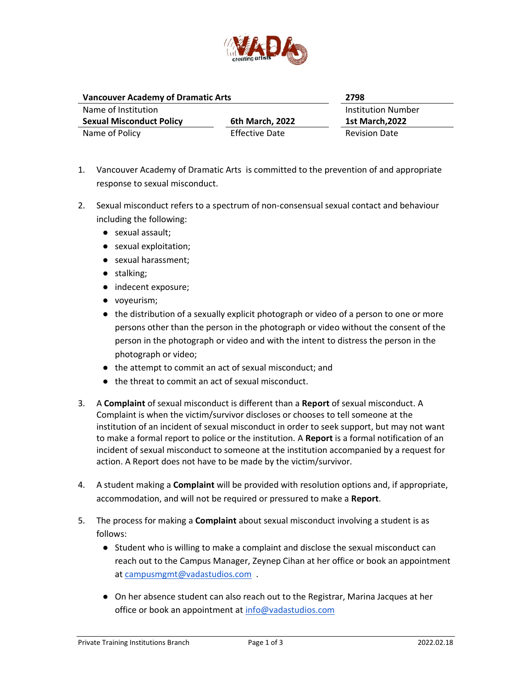

| <b>Vancouver Academy of Dramatic Arts</b> |                       | 2798                      |
|-------------------------------------------|-----------------------|---------------------------|
| Name of Institution                       |                       | <b>Institution Number</b> |
| <b>Sexual Misconduct Policy</b>           | 6th March, 2022       | <b>1st March.2022</b>     |
| Name of Policy                            | <b>Effective Date</b> | <b>Revision Date</b>      |

- 1. Vancouver Academy of Dramatic Arts is committed to the prevention of and appropriate response to sexual misconduct.
- 2. Sexual misconduct refers to a spectrum of non-consensual sexual contact and behaviour including the following:
	- sexual assault;
	- sexual exploitation;
	- sexual harassment;
	- stalking;
	- indecent exposure;
	- voyeurism;
	- the distribution of a sexually explicit photograph or video of a person to one or more persons other than the person in the photograph or video without the consent of the person in the photograph or video and with the intent to distress the person in the photograph or video;
	- the attempt to commit an act of sexual misconduct; and
	- the threat to commit an act of sexual misconduct.
- 3. A **Complaint** of sexual misconduct is different than a **Report** of sexual misconduct. A Complaint is when the victim/survivor discloses or chooses to tell someone at the institution of an incident of sexual misconduct in order to seek support, but may not want to make a formal report to police or the institution. A **Report** is a formal notification of an incident of sexual misconduct to someone at the institution accompanied by a request for action. A Report does not have to be made by the victim/survivor.
- 4. A student making a **Complaint** will be provided with resolution options and, if appropriate, accommodation, and will not be required or pressured to make a **Report**.
- 5. The process for making a **Complaint** about sexual misconduct involving a student is as follows:
	- Student who is willing to make a complaint and disclose the sexual misconduct can reach out to the Campus Manager, Zeynep Cihan at her office or book an appointment at campusmgmt@vadastudios.com.
	- On her absence student can also reach out to the Registrar, Marina Jacques at her office or book an appointment at [info@vadastudios.com](mailto:info@vadastudios.com)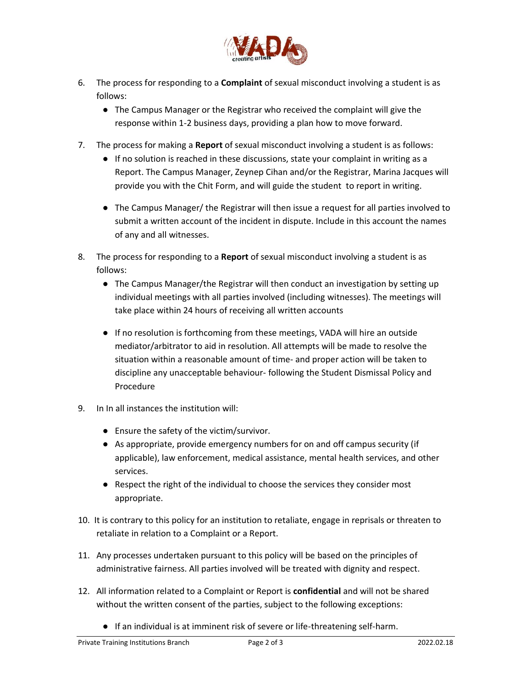

- 6. The process for responding to a **Complaint** of sexual misconduct involving a student is as follows:
	- The Campus Manager or the Registrar who received the complaint will give the response within 1-2 business days, providing a plan how to move forward.
- 7. The process for making a **Report** of sexual misconduct involving a student is as follows:
	- If no solution is reached in these discussions, state your complaint in writing as a Report. The Campus Manager, Zeynep Cihan and/or the Registrar, Marina Jacques will provide you with the Chit Form, and will guide the student to report in writing.
	- The Campus Manager/ the Registrar will then issue a request for all parties involved to submit a written account of the incident in dispute. Include in this account the names of any and all witnesses.
- 8. The process for responding to a **Report** of sexual misconduct involving a student is as follows:
	- The Campus Manager/the Registrar will then conduct an investigation by setting up individual meetings with all parties involved (including witnesses). The meetings will take place within 24 hours of receiving all written accounts
	- If no resolution is forthcoming from these meetings, VADA will hire an outside mediator/arbitrator to aid in resolution. All attempts will be made to resolve the situation within a reasonable amount of time- and proper action will be taken to discipline any unacceptable behaviour- following the Student Dismissal Policy and Procedure
- 9. In In all instances the institution will:
	- Ensure the safety of the victim/survivor.
	- As appropriate, provide emergency numbers for on and off campus security (if applicable), law enforcement, medical assistance, mental health services, and other services.
	- Respect the right of the individual to choose the services they consider most appropriate.
- 10. It is contrary to this policy for an institution to retaliate, engage in reprisals or threaten to retaliate in relation to a Complaint or a Report.
- 11. Any processes undertaken pursuant to this policy will be based on the principles of administrative fairness. All parties involved will be treated with dignity and respect.
- 12. All information related to a Complaint or Report is **confidential** and will not be shared without the written consent of the parties, subject to the following exceptions:
	- If an individual is at imminent risk of severe or life-threatening self-harm.